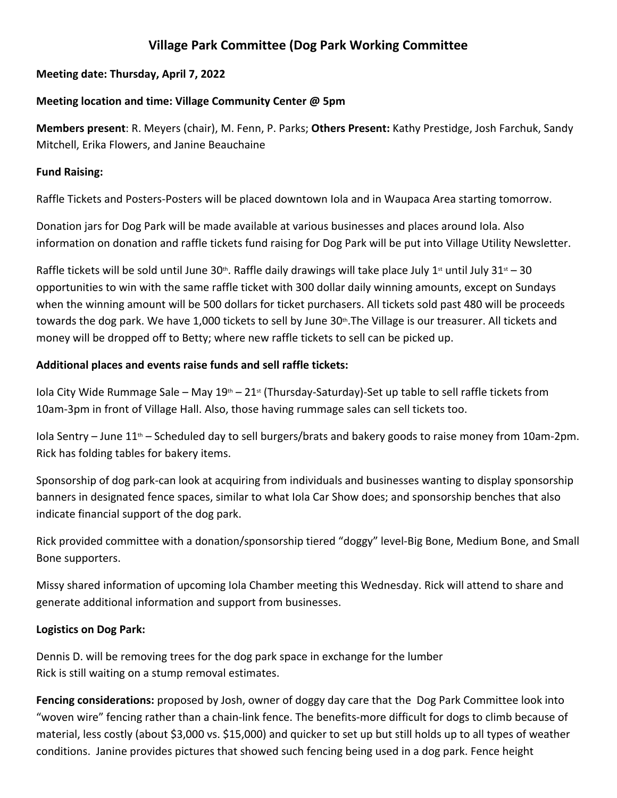# **Village Park Committee (Dog Park Working Committee**

## **Meeting date: Thursday, April 7, 2022**

#### **Meeting location and time: Village Community Center @ 5pm**

**Members present**: R. Meyers (chair), M. Fenn, P. Parks; **Others Present:** Kathy Prestidge, Josh Farchuk, Sandy Mitchell, Erika Flowers, and Janine Beauchaine

#### **Fund Raising:**

Raffle Tickets and Posters-Posters will be placed downtown Iola and in Waupaca Area starting tomorrow.

Donation jars for Dog Park will be made available at various businesses and places around Iola. Also information on donation and raffle tickets fund raising for Dog Park will be put into Village Utility Newsletter.

Raffle tickets will be sold until June 30th. Raffle daily drawings will take place July 1st until July 31st – 30 opportunities to win with the same raffle ticket with 300 dollar daily winning amounts, except on Sundays when the winning amount will be 500 dollars for ticket purchasers. All tickets sold past 480 will be proceeds towards the dog park. We have 1,000 tickets to sell by June 30<sup>th</sup>. The Village is our treasurer. All tickets and money will be dropped off to Betty; where new raffle tickets to sell can be picked up.

## **Additional places and events raise funds and sell raffle tickets:**

Iola City Wide Rummage Sale – May  $19<sup>th</sup>$  – 21<sup>st</sup> (Thursday-Saturday)-Set up table to sell raffle tickets from 10am-3pm in front of Village Hall. Also, those having rummage sales can sell tickets too.

Iola Sentry – June  $11<sup>th</sup>$  – Scheduled day to sell burgers/brats and bakery goods to raise money from 10am-2pm. Rick has folding tables for bakery items.

Sponsorship of dog park-can look at acquiring from individuals and businesses wanting to display sponsorship banners in designated fence spaces, similar to what Iola Car Show does; and sponsorship benches that also indicate financial support of the dog park.

Rick provided committee with a donation/sponsorship tiered "doggy" level-Big Bone, Medium Bone, and Small Bone supporters.

Missy shared information of upcoming Iola Chamber meeting this Wednesday. Rick will attend to share and generate additional information and support from businesses.

## **Logistics on Dog Park:**

Dennis D. will be removing trees for the dog park space in exchange for the lumber Rick is still waiting on a stump removal estimates.

**Fencing considerations:** proposed by Josh, owner of doggy day care that the Dog Park Committee look into "woven wire" fencing rather than a chain-link fence. The benefits-more difficult for dogs to climb because of material, less costly (about \$3,000 vs. \$15,000) and quicker to set up but still holds up to all types of weather conditions. Janine provides pictures that showed such fencing being used in a dog park. Fence height